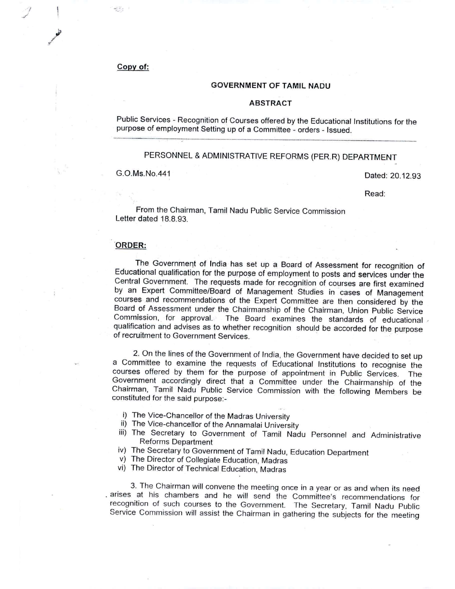### Copy of:

ج آباد

*I j* \

/.?

### GOVERNMENT OF TAMIL NADU

#### ABSTRACT

Public Services - Recognition of Courses offered by the Educational Institutions for the purpose of employment Setting up of a Committee - orders - Issued . ••••••••• \_ •• \_\_ ••••••••••••••••• \_\_ •••••••• H.\_ ••••• H •• H •••• \_ •• - ••••••• \_ ••••• \_ •• \_ ••• \_. •••••• \_ •• H •• H •••••••••• \_\_ •••••• \_ •••• \_ •••••••••••• H ••••••• \_\_ •••••••• \_\_ •••••• .H.\_ \_ \_\_ .

# PERSONNEL & ADMINISTRATIVE REFORMS (PER.R) DEPARTMENT

G.O.Ms.No.441

### Dated: 20.12.93

Read:

From the Chairman, Tamil Nadu Public Service Commission Letter dated 18.8.93.

#### ORDER:

The Government of India has set up a Board of Assessment for recognition of Educational qualification for the purpose of employment to posts and services under the Central Government. The requests made for recognition of courses are first examined by an Expert Committee/Board of Management Studies in cases of Management courses and recommendations of the Expert Committee are then considered by the Board of Assessment under the Chairmanship of the Chairman, Union Public Service The Board examines the standards of educational qualification and advises as to whether recognition should be accorded for the purpose of recruitment to Government Services. .

2. On the lines of the Government of India, the Government have decided to set up a Committee to examine the requests of Educational Institutions to recognise the courses offered by them for the purpose of appointment in Public Services. The Government accordingly direct that a Committee under the Chairmanship of the Chairman, Tamil Nadu Public Service Commission with the following Members be constituted for the said purpose:-

- i) The Vice-Chancellor of the Madras University
- ii) The Vice-chancellor of the Annamalai University
- iii) The Secretary to Government of Tamil Nadu Personnel and Administrative Reforms Department
- iv) The Secretary to Government of Tamil Nadu, Education Department
- v) The Director of Collegiate Education, Madras
- vi) The Director of Technical Education, Madras

3. The Chairman will convene the meeting once in a year or as and when its need . arises at his chambers and he will send the Committee's recommendations for recognition of such courses to the Government. The Secretary, Tamil Nadu Public Service Commission will assist the Chairman in gathering the subjects for the meeting